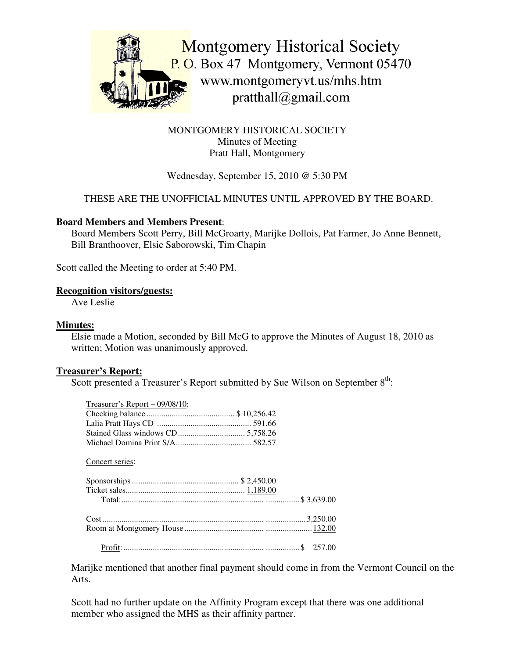

# MONTGOMERY HISTORICAL SOCIETY Minutes of Meeting Pratt Hall, Montgomery

# Wednesday, September 15, 2010 @ 5:30 PM

# THESE ARE THE UNOFFICIAL MINUTES UNTIL APPROVED BY THE BOARD.

## **Board Members and Members Present**:

Board Members Scott Perry, Bill McGroarty, Marijke Dollois, Pat Farmer, Jo Anne Bennett, Bill Branthoover, Elsie Saborowski, Tim Chapin

Scott called the Meeting to order at 5:40 PM.

#### **Recognition visitors/guests:**

Ave Leslie

#### **Minutes:**

Elsie made a Motion, seconded by Bill McG to approve the Minutes of August 18, 2010 as written; Motion was unanimously approved.

#### **Treasurer's Report:**

Scott presented a Treasurer's Report submitted by Sue Wilson on September  $8<sup>th</sup>$ :

| $T$ reasurer's Report – 09/08/10: |  |
|-----------------------------------|--|
|                                   |  |
|                                   |  |
|                                   |  |
|                                   |  |
|                                   |  |
| Concert series:                   |  |
|                                   |  |
|                                   |  |
|                                   |  |
|                                   |  |
|                                   |  |
|                                   |  |
|                                   |  |
|                                   |  |
|                                   |  |

Marijke mentioned that another final payment should come in from the Vermont Council on the Arts.

Scott had no further update on the Affinity Program except that there was one additional member who assigned the MHS as their affinity partner.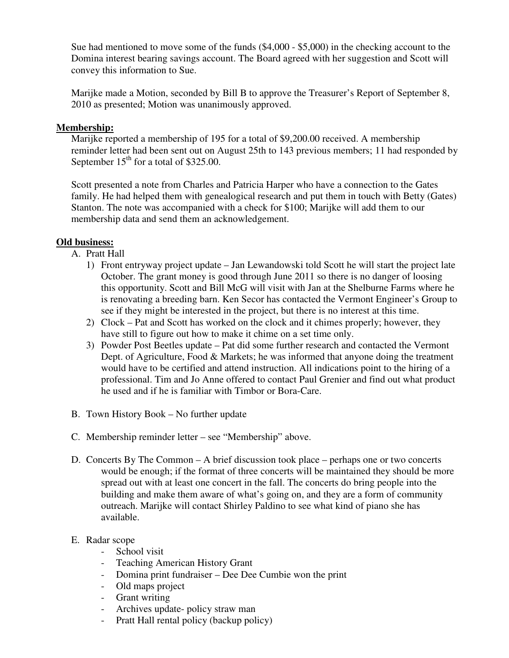Sue had mentioned to move some of the funds (\$4,000 - \$5,000) in the checking account to the Domina interest bearing savings account. The Board agreed with her suggestion and Scott will convey this information to Sue.

Marijke made a Motion, seconded by Bill B to approve the Treasurer's Report of September 8, 2010 as presented; Motion was unanimously approved.

## **Membership:**

Marijke reported a membership of 195 for a total of \$9,200.00 received. A membership reminder letter had been sent out on August 25th to 143 previous members; 11 had responded by September  $15<sup>th</sup>$  for a total of \$325.00.

Scott presented a note from Charles and Patricia Harper who have a connection to the Gates family. He had helped them with genealogical research and put them in touch with Betty (Gates) Stanton. The note was accompanied with a check for \$100; Marijke will add them to our membership data and send them an acknowledgement.

# **Old business:**

- A. Pratt Hall
	- 1) Front entryway project update Jan Lewandowski told Scott he will start the project late October. The grant money is good through June 2011 so there is no danger of loosing this opportunity. Scott and Bill McG will visit with Jan at the Shelburne Farms where he is renovating a breeding barn. Ken Secor has contacted the Vermont Engineer's Group to see if they might be interested in the project, but there is no interest at this time.
	- 2) Clock Pat and Scott has worked on the clock and it chimes properly; however, they have still to figure out how to make it chime on a set time only.
	- 3) Powder Post Beetles update Pat did some further research and contacted the Vermont Dept. of Agriculture, Food & Markets; he was informed that anyone doing the treatment would have to be certified and attend instruction. All indications point to the hiring of a professional. Tim and Jo Anne offered to contact Paul Grenier and find out what product he used and if he is familiar with Timbor or Bora-Care.
- B. Town History Book No further update
- C. Membership reminder letter see "Membership" above.
- D. Concerts By The Common A brief discussion took place perhaps one or two concerts would be enough; if the format of three concerts will be maintained they should be more spread out with at least one concert in the fall. The concerts do bring people into the building and make them aware of what's going on, and they are a form of community outreach. Marijke will contact Shirley Paldino to see what kind of piano she has available.

#### E. Radar scope

- School visit
- Teaching American History Grant
- Domina print fundraiser Dee Dee Cumbie won the print
- Old maps project
- Grant writing
- Archives update- policy straw man
- Pratt Hall rental policy (backup policy)